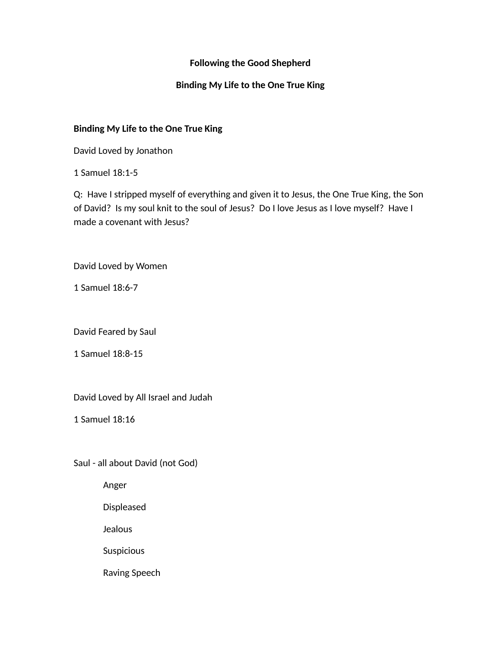## **Following the Good Shepherd**

## **Binding My Life to the One True King**

### **Binding My Life to the One True King**

David Loved by Jonathon

1 Samuel 18:1-5

Q: Have I stripped myself of everything and given it to Jesus, the One True King, the Son of David? Is my soul knit to the soul of Jesus? Do I love Jesus as I love myself? Have I made a covenant with Jesus?

David Loved by Women

1 Samuel 18:6-7

David Feared by Saul

1 Samuel 18:8-15

David Loved by All Israel and Judah

1 Samuel 18:16

Saul - all about David (not God)

Anger

Displeased

Jealous

Suspicious

Raving Speech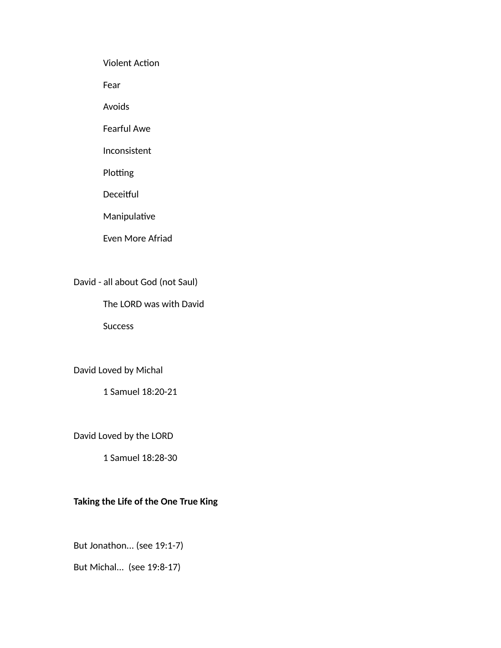Violent Action

Fear

Avoids

Fearful Awe

Inconsistent

Plotting

Deceitful

Manipulative

Even More Afriad

David - all about God (not Saul)

The LORD was with David

Success

David Loved by Michal

1 Samuel 18:20-21

David Loved by the LORD

1 Samuel 18:28-30

# **Taking the Life of the One True King**

But Jonathon... (see 19:1-7)

But Michal... (see 19:8-17)